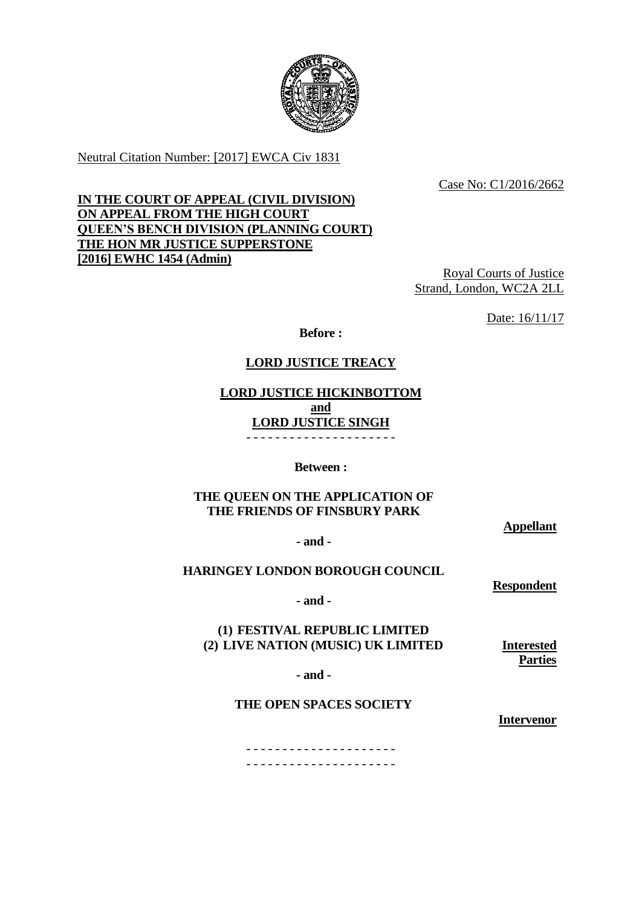

Neutral Citation Number: [2017] EWCA Civ 1831

Case No: C1/2016/2662

## **IN THE COURT OF APPEAL (CIVIL DIVISION) ON APPEAL FROM THE HIGH COURT QUEEN'S BENCH DIVISION (PLANNING COURT) THE HON MR JUSTICE SUPPERSTONE [2016] EWHC 1454 (Admin)**

Royal Courts of Justice Strand, London, WC2A 2LL

Date: 16/11/17

**Before :**

# **LORD JUSTICE TREACY**

**LORD JUSTICE HICKINBOTTOM and LORD JUSTICE SINGH** - - - - - - - - - - - - - - - - - - - - -

**Between :**

### **THE QUEEN ON THE APPLICATION OF THE FRIENDS OF FINSBURY PARK**

**Appellant**

**- and -**

## **HARINGEY LONDON BOROUGH COUNCIL**

**Respondent**

### **- and -**

## **(1) FESTIVAL REPUBLIC LIMITED (2) LIVE NATION (MUSIC) UK LIMITED Interested**

**Parties**

**- and -**

## **THE OPEN SPACES SOCIETY**

**Intervenor**

- - - - - - - - - - - - - - - - - - - - - - - - - - - - - - - - - - - - - - - - - -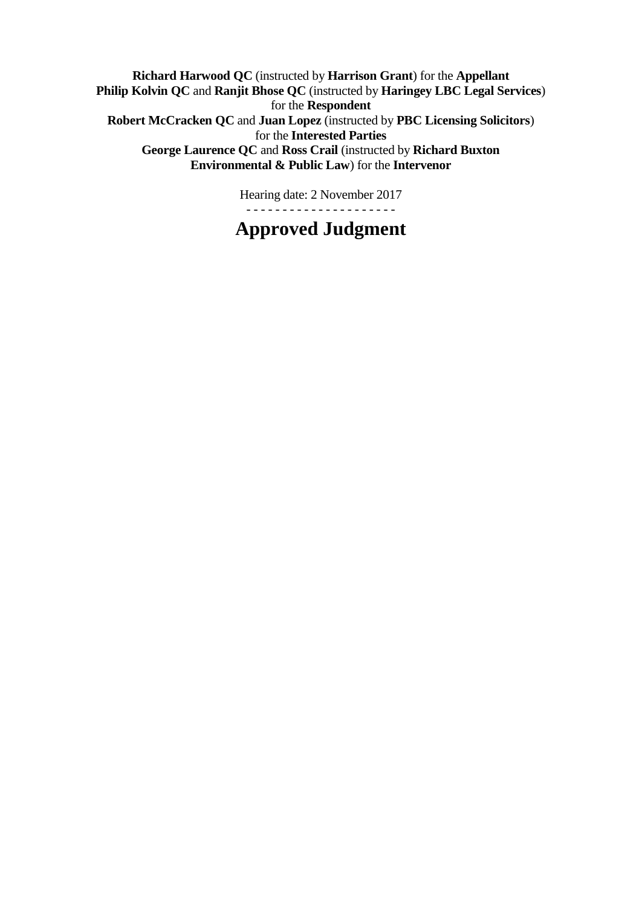**Richard Harwood QC** (instructed by **Harrison Grant**) for the **Appellant Philip Kolvin QC** and **Ranjit Bhose QC** (instructed by **Haringey LBC Legal Services**) for the **Respondent Robert McCracken QC** and **Juan Lopez** (instructed by **PBC Licensing Solicitors**) for the **Interested Parties George Laurence QC** and **Ross Crail** (instructed by **Richard Buxton Environmental & Public Law**) for the **Intervenor**

Hearing date: 2 November 2017

- - - - - - - - - - - - - - - - - - - - -

# **Approved Judgment**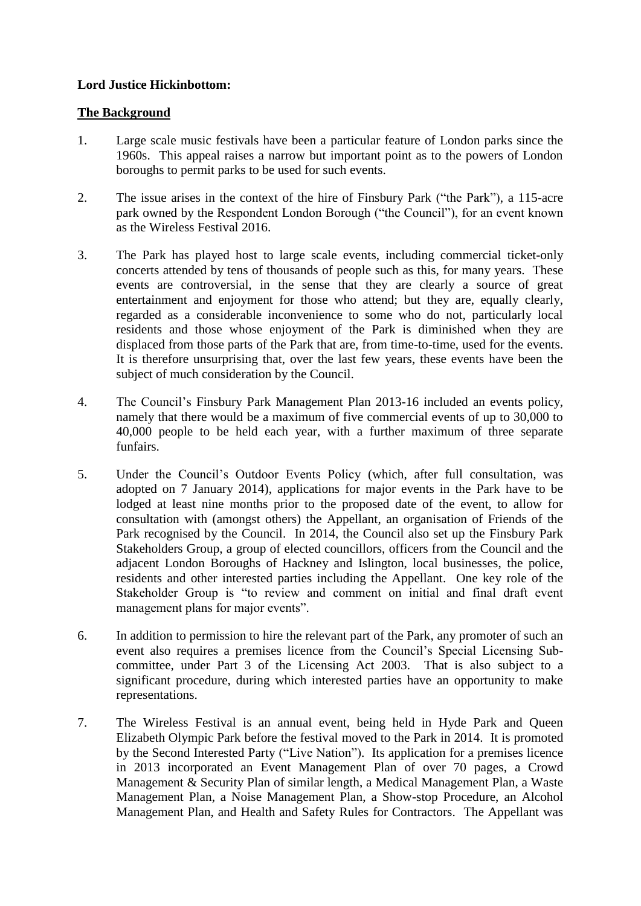## **Lord Justice Hickinbottom:**

### **The Background**

- 1. Large scale music festivals have been a particular feature of London parks since the 1960s. This appeal raises a narrow but important point as to the powers of London boroughs to permit parks to be used for such events.
- 2. The issue arises in the context of the hire of Finsbury Park ("the Park"), a 115-acre park owned by the Respondent London Borough ("the Council"), for an event known as the Wireless Festival 2016.
- 3. The Park has played host to large scale events, including commercial ticket-only concerts attended by tens of thousands of people such as this, for many years. These events are controversial, in the sense that they are clearly a source of great entertainment and enjoyment for those who attend; but they are, equally clearly, regarded as a considerable inconvenience to some who do not, particularly local residents and those whose enjoyment of the Park is diminished when they are displaced from those parts of the Park that are, from time-to-time, used for the events. It is therefore unsurprising that, over the last few years, these events have been the subject of much consideration by the Council.
- 4. The Council's Finsbury Park Management Plan 2013-16 included an events policy, namely that there would be a maximum of five commercial events of up to 30,000 to 40,000 people to be held each year, with a further maximum of three separate funfairs.
- 5. Under the Council's Outdoor Events Policy (which, after full consultation, was adopted on 7 January 2014), applications for major events in the Park have to be lodged at least nine months prior to the proposed date of the event, to allow for consultation with (amongst others) the Appellant, an organisation of Friends of the Park recognised by the Council. In 2014, the Council also set up the Finsbury Park Stakeholders Group, a group of elected councillors, officers from the Council and the adjacent London Boroughs of Hackney and Islington, local businesses, the police, residents and other interested parties including the Appellant. One key role of the Stakeholder Group is "to review and comment on initial and final draft event management plans for major events".
- 6. In addition to permission to hire the relevant part of the Park, any promoter of such an event also requires a premises licence from the Council's Special Licensing Subcommittee, under Part 3 of the Licensing Act 2003. That is also subject to a significant procedure, during which interested parties have an opportunity to make representations.
- 7. The Wireless Festival is an annual event, being held in Hyde Park and Queen Elizabeth Olympic Park before the festival moved to the Park in 2014. It is promoted by the Second Interested Party ("Live Nation"). Its application for a premises licence in 2013 incorporated an Event Management Plan of over 70 pages, a Crowd Management & Security Plan of similar length, a Medical Management Plan, a Waste Management Plan, a Noise Management Plan, a Show-stop Procedure, an Alcohol Management Plan, and Health and Safety Rules for Contractors. The Appellant was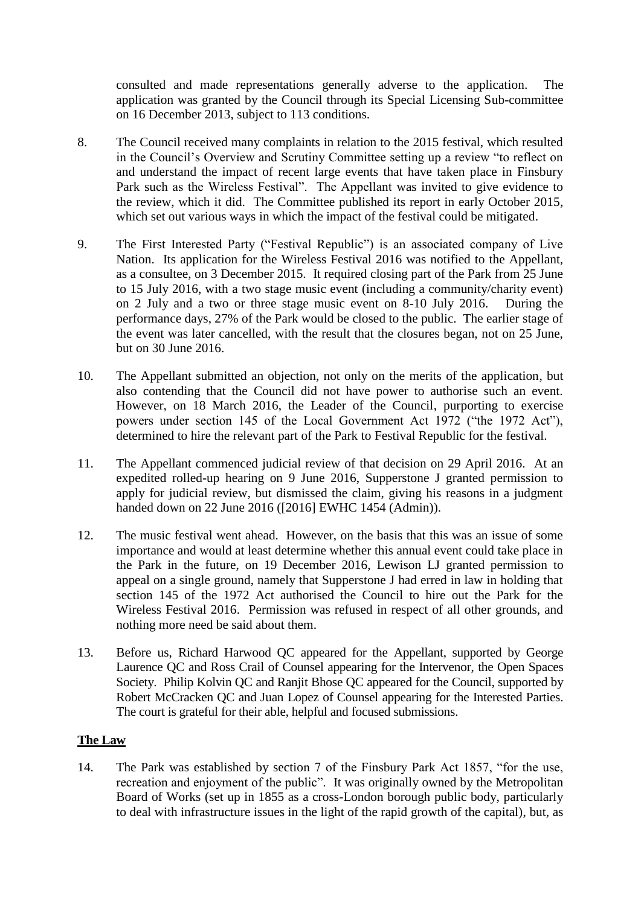consulted and made representations generally adverse to the application. The application was granted by the Council through its Special Licensing Sub-committee on 16 December 2013, subject to 113 conditions.

- 8. The Council received many complaints in relation to the 2015 festival, which resulted in the Council's Overview and Scrutiny Committee setting up a review "to reflect on and understand the impact of recent large events that have taken place in Finsbury Park such as the Wireless Festival". The Appellant was invited to give evidence to the review, which it did. The Committee published its report in early October 2015, which set out various ways in which the impact of the festival could be mitigated.
- 9. The First Interested Party ("Festival Republic") is an associated company of Live Nation. Its application for the Wireless Festival 2016 was notified to the Appellant, as a consultee, on 3 December 2015. It required closing part of the Park from 25 June to 15 July 2016, with a two stage music event (including a community/charity event) on 2 July and a two or three stage music event on 8-10 July 2016. During the performance days, 27% of the Park would be closed to the public. The earlier stage of the event was later cancelled, with the result that the closures began, not on 25 June, but on 30 June 2016.
- 10. The Appellant submitted an objection, not only on the merits of the application, but also contending that the Council did not have power to authorise such an event. However, on 18 March 2016, the Leader of the Council, purporting to exercise powers under section 145 of the Local Government Act 1972 ("the 1972 Act"), determined to hire the relevant part of the Park to Festival Republic for the festival.
- 11. The Appellant commenced judicial review of that decision on 29 April 2016. At an expedited rolled-up hearing on 9 June 2016, Supperstone J granted permission to apply for judicial review, but dismissed the claim, giving his reasons in a judgment handed down on 22 June 2016 ([2016] EWHC 1454 (Admin)).
- 12. The music festival went ahead. However, on the basis that this was an issue of some importance and would at least determine whether this annual event could take place in the Park in the future, on 19 December 2016, Lewison LJ granted permission to appeal on a single ground, namely that Supperstone J had erred in law in holding that section 145 of the 1972 Act authorised the Council to hire out the Park for the Wireless Festival 2016. Permission was refused in respect of all other grounds, and nothing more need be said about them.
- 13. Before us, Richard Harwood QC appeared for the Appellant, supported by George Laurence QC and Ross Crail of Counsel appearing for the Intervenor, the Open Spaces Society. Philip Kolvin QC and Ranjit Bhose QC appeared for the Council, supported by Robert McCracken QC and Juan Lopez of Counsel appearing for the Interested Parties. The court is grateful for their able, helpful and focused submissions.

## **The Law**

14. The Park was established by section 7 of the Finsbury Park Act 1857, "for the use, recreation and enjoyment of the public". It was originally owned by the Metropolitan Board of Works (set up in 1855 as a cross-London borough public body, particularly to deal with infrastructure issues in the light of the rapid growth of the capital), but, as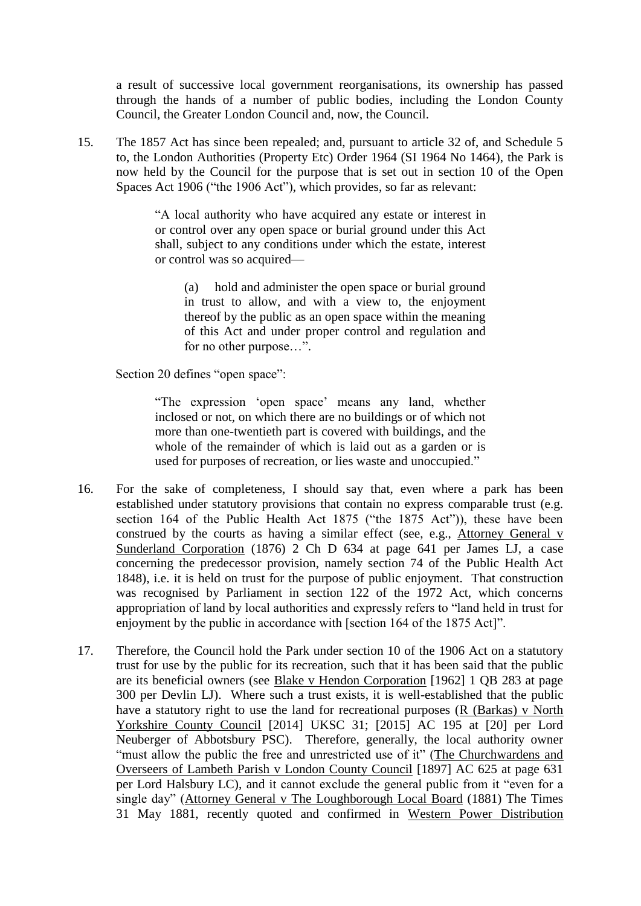a result of successive local government reorganisations, its ownership has passed through the hands of a number of public bodies, including the London County Council, the Greater London Council and, now, the Council.

15. The 1857 Act has since been repealed; and, pursuant to article 32 of, and Schedule 5 to, the London Authorities (Property Etc) Order 1964 (SI 1964 No 1464), the Park is now held by the Council for the purpose that is set out in section 10 of the Open Spaces Act 1906 ("the 1906 Act"), which provides, so far as relevant:

> "A local authority who have acquired any estate or interest in or control over any open space or burial ground under this Act shall, subject to any conditions under which the estate, interest or control was so acquired—

(a) hold and administer the open space or burial ground in trust to allow, and with a view to, the enjoyment thereof by the public as an open space within the meaning of this Act and under proper control and regulation and for no other purpose…".

Section 20 defines "open space":

"The expression 'open space' means any land, whether inclosed or not, on which there are no buildings or of which not more than one-twentieth part is covered with buildings, and the whole of the remainder of which is laid out as a garden or is used for purposes of recreation, or lies waste and unoccupied."

- 16. For the sake of completeness, I should say that, even where a park has been established under statutory provisions that contain no express comparable trust (e.g. section 164 of the Public Health Act 1875 ("the 1875 Act")), these have been construed by the courts as having a similar effect (see, e.g., Attorney General v Sunderland Corporation (1876) 2 Ch D 634 at page 641 per James LJ, a case concerning the predecessor provision, namely section 74 of the Public Health Act 1848), i.e. it is held on trust for the purpose of public enjoyment. That construction was recognised by Parliament in section 122 of the 1972 Act, which concerns appropriation of land by local authorities and expressly refers to "land held in trust for enjoyment by the public in accordance with [section 164 of the 1875 Act]".
- 17. Therefore, the Council hold the Park under section 10 of the 1906 Act on a statutory trust for use by the public for its recreation, such that it has been said that the public are its beneficial owners (see Blake v Hendon Corporation [1962] 1 QB 283 at page 300 per Devlin LJ). Where such a trust exists, it is well-established that the public have a statutory right to use the land for recreational purposes (R (Barkas) v North Yorkshire County Council [2014] UKSC 31; [2015] AC 195 at [20] per Lord Neuberger of Abbotsbury PSC). Therefore, generally, the local authority owner "must allow the public the free and unrestricted use of it" (The Churchwardens and Overseers of Lambeth Parish v London County Council [1897] AC 625 at page 631 per Lord Halsbury LC), and it cannot exclude the general public from it "even for a single day" (Attorney General v The Loughborough Local Board (1881) The Times 31 May 1881, recently quoted and confirmed in Western Power Distribution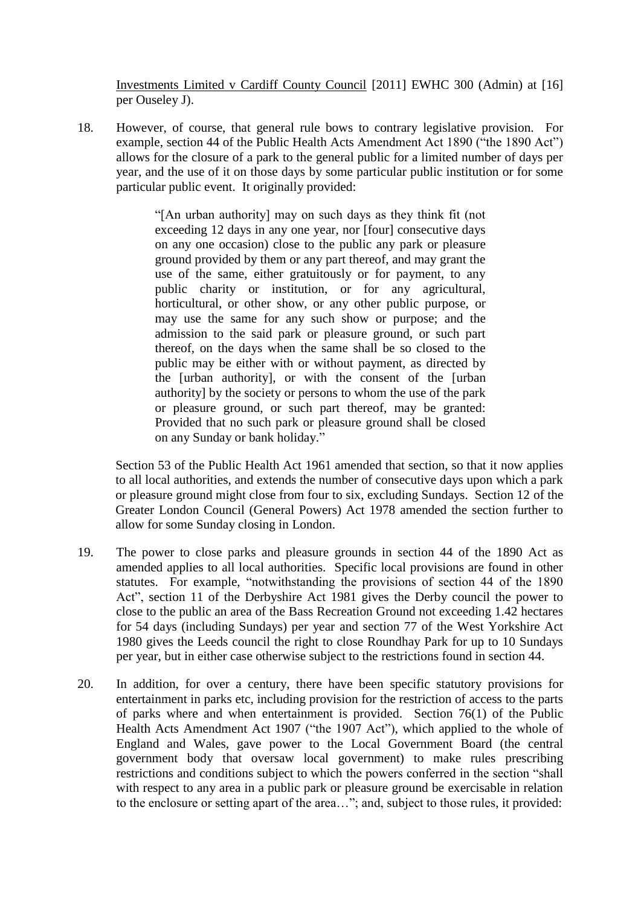Investments Limited v Cardiff County Council [2011] EWHC 300 (Admin) at [16] per Ouseley J).

18. However, of course, that general rule bows to contrary legislative provision. For example, section 44 of the Public Health Acts Amendment Act 1890 ("the 1890 Act") allows for the closure of a park to the general public for a limited number of days per year, and the use of it on those days by some particular public institution or for some particular public event. It originally provided:

> "[An urban authority] may on such days as they think fit (not exceeding 12 days in any one year, nor [four] consecutive days on any one occasion) close to the public any park or pleasure ground provided by them or any part thereof, and may grant the use of the same, either gratuitously or for payment, to any public charity or institution, or for any agricultural, horticultural, or other show, or any other public purpose, or may use the same for any such show or purpose; and the admission to the said park or pleasure ground, or such part thereof, on the days when the same shall be so closed to the public may be either with or without payment, as directed by the [urban authority], or with the consent of the [urban authority] by the society or persons to whom the use of the park or pleasure ground, or such part thereof, may be granted: Provided that no such park or pleasure ground shall be closed on any Sunday or bank holiday."

Section 53 of the Public Health Act 1961 amended that section, so that it now applies to all local authorities, and extends the number of consecutive days upon which a park or pleasure ground might close from four to six, excluding Sundays. Section 12 of the Greater London Council (General Powers) Act 1978 amended the section further to allow for some Sunday closing in London.

- 19. The power to close parks and pleasure grounds in section 44 of the 1890 Act as amended applies to all local authorities. Specific local provisions are found in other statutes. For example, "notwithstanding the provisions of section 44 of the 1890 Act", section 11 of the Derbyshire Act 1981 gives the Derby council the power to close to the public an area of the Bass Recreation Ground not exceeding 1.42 hectares for 54 days (including Sundays) per year and section 77 of the West Yorkshire Act 1980 gives the Leeds council the right to close Roundhay Park for up to 10 Sundays per year, but in either case otherwise subject to the restrictions found in section 44.
- 20. In addition, for over a century, there have been specific statutory provisions for entertainment in parks etc, including provision for the restriction of access to the parts of parks where and when entertainment is provided. Section 76(1) of the Public Health Acts Amendment Act 1907 ("the 1907 Act"), which applied to the whole of England and Wales, gave power to the Local Government Board (the central government body that oversaw local government) to make rules prescribing restrictions and conditions subject to which the powers conferred in the section "shall with respect to any area in a public park or pleasure ground be exercisable in relation to the enclosure or setting apart of the area…"; and, subject to those rules, it provided: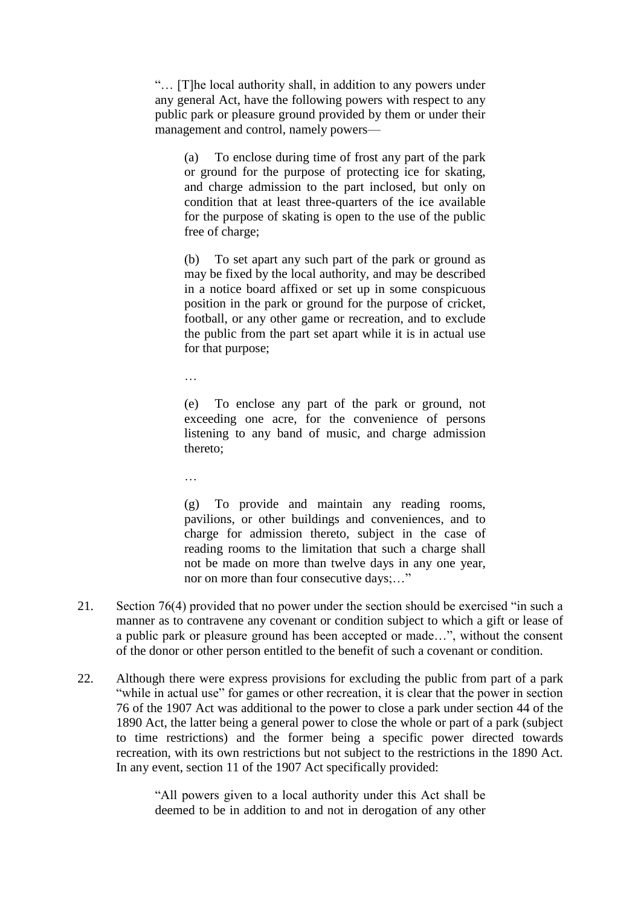"… [T]he local authority shall, in addition to any powers under any general Act, have the following powers with respect to any public park or pleasure ground provided by them or under their management and control, namely powers—

(a) To enclose during time of frost any part of the park or ground for the purpose of protecting ice for skating, and charge admission to the part inclosed, but only on condition that at least three-quarters of the ice available for the purpose of skating is open to the use of the public free of charge;

(b) To set apart any such part of the park or ground as may be fixed by the local authority, and may be described in a notice board affixed or set up in some conspicuous position in the park or ground for the purpose of cricket, football, or any other game or recreation, and to exclude the public from the part set apart while it is in actual use for that purpose;

…

(e) To enclose any part of the park or ground, not exceeding one acre, for the convenience of persons listening to any band of music, and charge admission thereto;

…

(g) To provide and maintain any reading rooms, pavilions, or other buildings and conveniences, and to charge for admission thereto, subject in the case of reading rooms to the limitation that such a charge shall not be made on more than twelve days in any one year, nor on more than four consecutive days;…"

- 21. Section 76(4) provided that no power under the section should be exercised "in such a manner as to contravene any covenant or condition subject to which a gift or lease of a public park or pleasure ground has been accepted or made…", without the consent of the donor or other person entitled to the benefit of such a covenant or condition.
- 22. Although there were express provisions for excluding the public from part of a park "while in actual use" for games or other recreation, it is clear that the power in section 76 of the 1907 Act was additional to the power to close a park under section 44 of the 1890 Act, the latter being a general power to close the whole or part of a park (subject to time restrictions) and the former being a specific power directed towards recreation, with its own restrictions but not subject to the restrictions in the 1890 Act. In any event, section 11 of the 1907 Act specifically provided:

"All powers given to a local authority under this Act shall be deemed to be in addition to and not in derogation of any other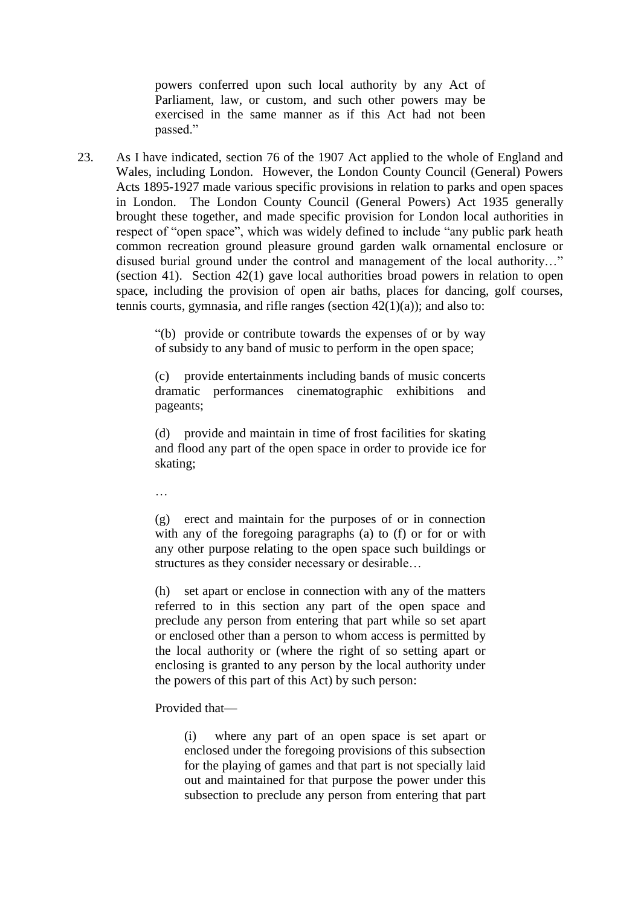powers conferred upon such local authority by any Act of Parliament, law, or custom, and such other powers may be exercised in the same manner as if this Act had not been passed."

23. As I have indicated, section 76 of the 1907 Act applied to the whole of England and Wales, including London. However, the London County Council (General) Powers Acts 1895-1927 made various specific provisions in relation to parks and open spaces in London. The London County Council (General Powers) Act 1935 generally brought these together, and made specific provision for London local authorities in respect of "open space", which was widely defined to include "any public park heath common recreation ground pleasure ground garden walk ornamental enclosure or disused burial ground under the control and management of the local authority…" (section 41). Section 42(1) gave local authorities broad powers in relation to open space, including the provision of open air baths, places for dancing, golf courses, tennis courts, gymnasia, and rifle ranges (section  $42(1)(a)$ ); and also to:

> "(b) provide or contribute towards the expenses of or by way of subsidy to any band of music to perform in the open space;

> (c) provide entertainments including bands of music concerts dramatic performances cinematographic exhibitions and pageants;

> (d) provide and maintain in time of frost facilities for skating and flood any part of the open space in order to provide ice for skating;

…

(g) erect and maintain for the purposes of or in connection with any of the foregoing paragraphs (a) to (f) or for or with any other purpose relating to the open space such buildings or structures as they consider necessary or desirable…

(h) set apart or enclose in connection with any of the matters referred to in this section any part of the open space and preclude any person from entering that part while so set apart or enclosed other than a person to whom access is permitted by the local authority or (where the right of so setting apart or enclosing is granted to any person by the local authority under the powers of this part of this Act) by such person:

Provided that—

(i) where any part of an open space is set apart or enclosed under the foregoing provisions of this subsection for the playing of games and that part is not specially laid out and maintained for that purpose the power under this subsection to preclude any person from entering that part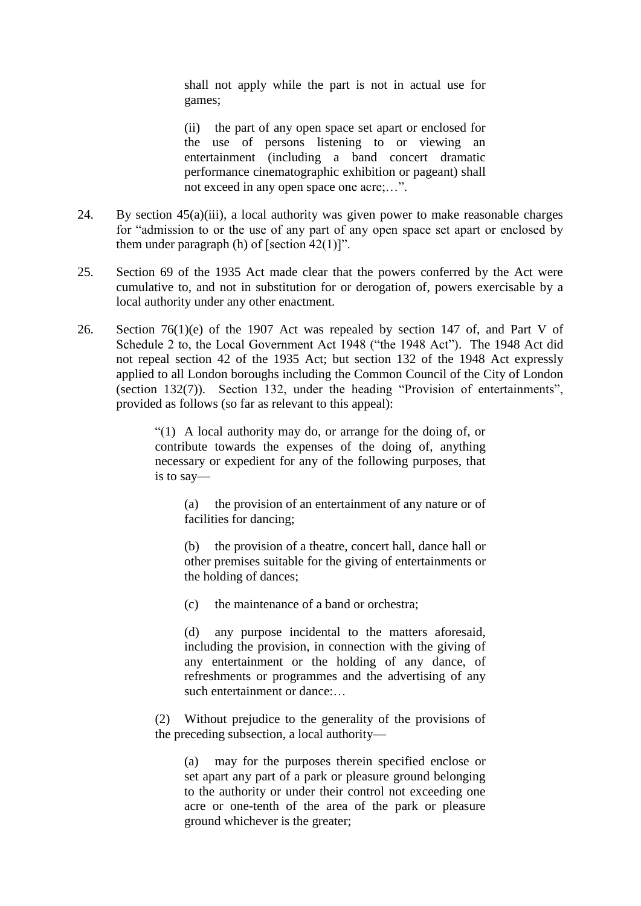shall not apply while the part is not in actual use for games;

(ii) the part of any open space set apart or enclosed for the use of persons listening to or viewing an entertainment (including a band concert dramatic performance cinematographic exhibition or pageant) shall not exceed in any open space one acre;…".

- 24. By section 45(a)(iii), a local authority was given power to make reasonable charges for "admission to or the use of any part of any open space set apart or enclosed by them under paragraph (h) of [section  $42(1)$ ]".
- 25. Section 69 of the 1935 Act made clear that the powers conferred by the Act were cumulative to, and not in substitution for or derogation of, powers exercisable by a local authority under any other enactment.
- 26. Section 76(1)(e) of the 1907 Act was repealed by section 147 of, and Part V of Schedule 2 to, the Local Government Act 1948 ("the 1948 Act"). The 1948 Act did not repeal section 42 of the 1935 Act; but section 132 of the 1948 Act expressly applied to all London boroughs including the Common Council of the City of London (section 132(7)). Section 132, under the heading "Provision of entertainments", provided as follows (so far as relevant to this appeal):

"(1) A local authority may do, or arrange for the doing of, or contribute towards the expenses of the doing of, anything necessary or expedient for any of the following purposes, that is to say—

(a) the provision of an entertainment of any nature or of facilities for dancing;

(b) the provision of a theatre, concert hall, dance hall or other premises suitable for the giving of entertainments or the holding of dances;

(c) the maintenance of a band or orchestra;

(d) any purpose incidental to the matters aforesaid, including the provision, in connection with the giving of any entertainment or the holding of any dance, of refreshments or programmes and the advertising of any such entertainment or dance:...

(2) Without prejudice to the generality of the provisions of the preceding subsection, a local authority—

(a) may for the purposes therein specified enclose or set apart any part of a park or pleasure ground belonging to the authority or under their control not exceeding one acre or one-tenth of the area of the park or pleasure ground whichever is the greater;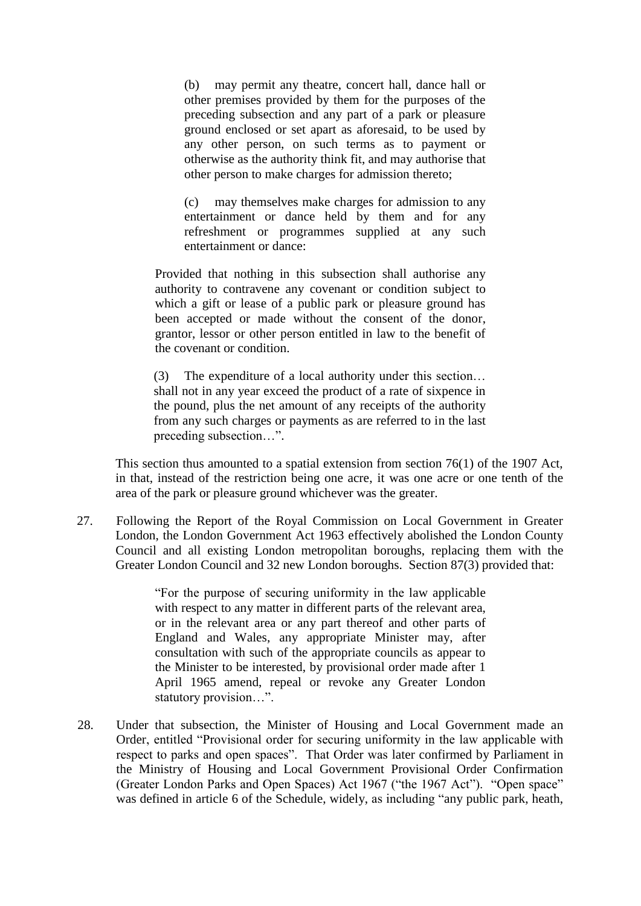(b) may permit any theatre, concert hall, dance hall or other premises provided by them for the purposes of the preceding subsection and any part of a park or pleasure ground enclosed or set apart as aforesaid, to be used by any other person, on such terms as to payment or otherwise as the authority think fit, and may authorise that other person to make charges for admission thereto;

(c) may themselves make charges for admission to any entertainment or dance held by them and for any refreshment or programmes supplied at any such entertainment or dance:

Provided that nothing in this subsection shall authorise any authority to contravene any covenant or condition subject to which a gift or lease of a public park or pleasure ground has been accepted or made without the consent of the donor, grantor, lessor or other person entitled in law to the benefit of the covenant or condition.

(3) The expenditure of a local authority under this section… shall not in any year exceed the product of a rate of sixpence in the pound, plus the net amount of any receipts of the authority from any such charges or payments as are referred to in the last preceding subsection…".

This section thus amounted to a spatial extension from section 76(1) of the 1907 Act, in that, instead of the restriction being one acre, it was one acre or one tenth of the area of the park or pleasure ground whichever was the greater.

27. Following the Report of the Royal Commission on Local Government in Greater London, the London Government Act 1963 effectively abolished the London County Council and all existing London metropolitan boroughs, replacing them with the Greater London Council and 32 new London boroughs. Section 87(3) provided that:

> "For the purpose of securing uniformity in the law applicable with respect to any matter in different parts of the relevant area, or in the relevant area or any part thereof and other parts of England and Wales, any appropriate Minister may, after consultation with such of the appropriate councils as appear to the Minister to be interested, by provisional order made after 1 April 1965 amend, repeal or revoke any Greater London statutory provision…".

28. Under that subsection, the Minister of Housing and Local Government made an Order, entitled "Provisional order for securing uniformity in the law applicable with respect to parks and open spaces". That Order was later confirmed by Parliament in the Ministry of Housing and Local Government Provisional Order Confirmation (Greater London Parks and Open Spaces) Act 1967 ("the 1967 Act"). "Open space" was defined in article 6 of the Schedule, widely, as including "any public park, heath,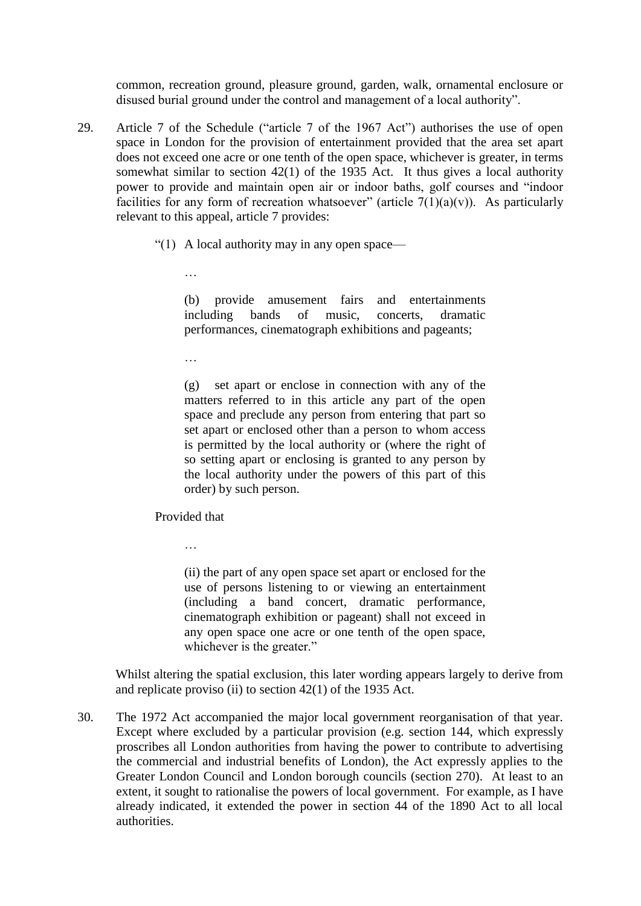common, recreation ground, pleasure ground, garden, walk, ornamental enclosure or disused burial ground under the control and management of a local authority".

- 29. Article 7 of the Schedule ("article 7 of the 1967 Act") authorises the use of open space in London for the provision of entertainment provided that the area set apart does not exceed one acre or one tenth of the open space, whichever is greater, in terms somewhat similar to section 42(1) of the 1935 Act. It thus gives a local authority power to provide and maintain open air or indoor baths, golf courses and "indoor facilities for any form of recreation whatsoever" (article  $7(1)(a)(v)$ ). As particularly relevant to this appeal, article 7 provides:
	- "(1) A local authority may in any open space—

…

(b) provide amusement fairs and entertainments including bands of music, concerts, dramatic performances, cinematograph exhibitions and pageants;

…

(g) set apart or enclose in connection with any of the matters referred to in this article any part of the open space and preclude any person from entering that part so set apart or enclosed other than a person to whom access is permitted by the local authority or (where the right of so setting apart or enclosing is granted to any person by the local authority under the powers of this part of this order) by such person.

Provided that

…

(ii) the part of any open space set apart or enclosed for the use of persons listening to or viewing an entertainment (including a band concert, dramatic performance, cinematograph exhibition or pageant) shall not exceed in any open space one acre or one tenth of the open space, whichever is the greater."

Whilst altering the spatial exclusion, this later wording appears largely to derive from and replicate proviso (ii) to section 42(1) of the 1935 Act.

30. The 1972 Act accompanied the major local government reorganisation of that year. Except where excluded by a particular provision (e.g. section 144, which expressly proscribes all London authorities from having the power to contribute to advertising the commercial and industrial benefits of London), the Act expressly applies to the Greater London Council and London borough councils (section 270). At least to an extent, it sought to rationalise the powers of local government. For example, as I have already indicated, it extended the power in section 44 of the 1890 Act to all local authorities.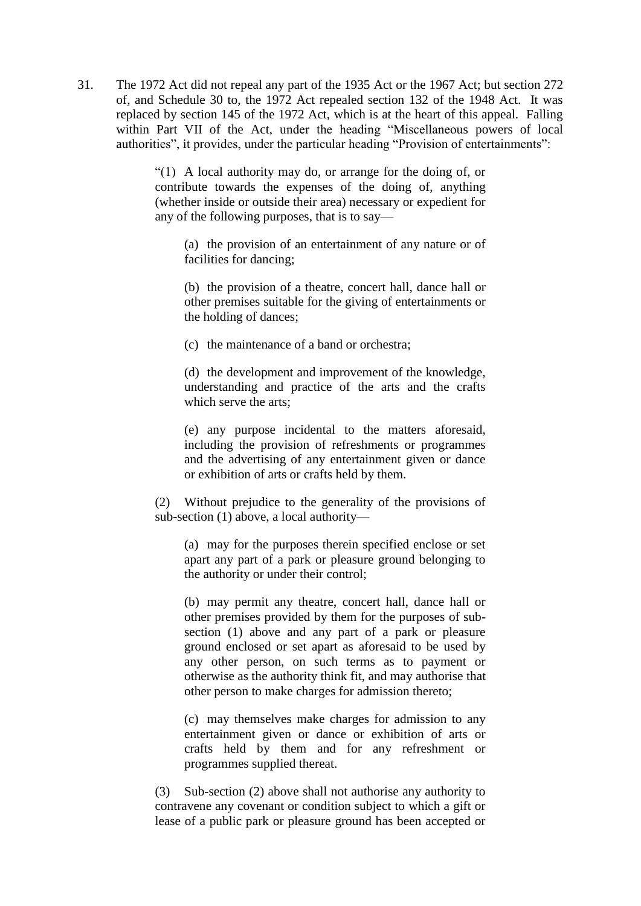31. The 1972 Act did not repeal any part of the 1935 Act or the 1967 Act; but section 272 of, and Schedule 30 to, the 1972 Act repealed section 132 of the 1948 Act. It was replaced by section 145 of the 1972 Act, which is at the heart of this appeal. Falling within Part VII of the Act, under the heading "Miscellaneous powers of local authorities", it provides, under the particular heading "Provision of entertainments":

> "(1) A local authority may do, or arrange for the doing of, or contribute towards the expenses of the doing of, anything (whether inside or outside their area) necessary or expedient for any of the following purposes, that is to say—

(a) the provision of an entertainment of any nature or of facilities for dancing;

(b) the provision of a theatre, concert hall, dance hall or other premises suitable for the giving of entertainments or the holding of dances;

(c) the maintenance of a band or orchestra;

(d) the development and improvement of the knowledge, understanding and practice of the arts and the crafts which serve the arts:

(e) any purpose incidental to the matters aforesaid, including the provision of refreshments or programmes and the advertising of any entertainment given or dance or exhibition of arts or crafts held by them.

(2) Without prejudice to the generality of the provisions of sub-section (1) above, a local authority—

(a) may for the purposes therein specified enclose or set apart any part of a park or pleasure ground belonging to the authority or under their control;

(b) may permit any theatre, concert hall, dance hall or other premises provided by them for the purposes of subsection (1) above and any part of a park or pleasure ground enclosed or set apart as aforesaid to be used by any other person, on such terms as to payment or otherwise as the authority think fit, and may authorise that other person to make charges for admission thereto;

(c) may themselves make charges for admission to any entertainment given or dance or exhibition of arts or crafts held by them and for any refreshment or programmes supplied thereat.

(3) Sub-section (2) above shall not authorise any authority to contravene any covenant or condition subject to which a gift or lease of a public park or pleasure ground has been accepted or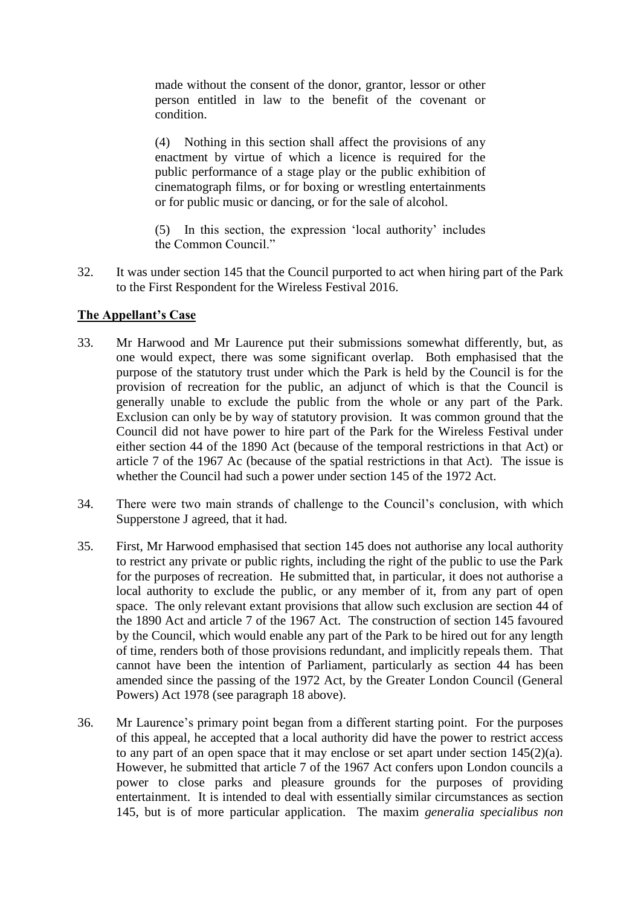made without the consent of the donor, grantor, lessor or other person entitled in law to the benefit of the covenant or condition.

(4) Nothing in this section shall affect the provisions of any enactment by virtue of which a licence is required for the public performance of a stage play or the public exhibition of cinematograph films, or for boxing or wrestling entertainments or for public music or dancing, or for the sale of alcohol.

(5) In this section, the expression 'local authority' includes the Common Council."

32. It was under section 145 that the Council purported to act when hiring part of the Park to the First Respondent for the Wireless Festival 2016.

## **The Appellant's Case**

- 33. Mr Harwood and Mr Laurence put their submissions somewhat differently, but, as one would expect, there was some significant overlap. Both emphasised that the purpose of the statutory trust under which the Park is held by the Council is for the provision of recreation for the public, an adjunct of which is that the Council is generally unable to exclude the public from the whole or any part of the Park. Exclusion can only be by way of statutory provision. It was common ground that the Council did not have power to hire part of the Park for the Wireless Festival under either section 44 of the 1890 Act (because of the temporal restrictions in that Act) or article 7 of the 1967 Ac (because of the spatial restrictions in that Act). The issue is whether the Council had such a power under section 145 of the 1972 Act.
- 34. There were two main strands of challenge to the Council's conclusion, with which Supperstone J agreed, that it had.
- 35. First, Mr Harwood emphasised that section 145 does not authorise any local authority to restrict any private or public rights, including the right of the public to use the Park for the purposes of recreation. He submitted that, in particular, it does not authorise a local authority to exclude the public, or any member of it, from any part of open space. The only relevant extant provisions that allow such exclusion are section 44 of the 1890 Act and article 7 of the 1967 Act. The construction of section 145 favoured by the Council, which would enable any part of the Park to be hired out for any length of time, renders both of those provisions redundant, and implicitly repeals them. That cannot have been the intention of Parliament, particularly as section 44 has been amended since the passing of the 1972 Act, by the Greater London Council (General Powers) Act 1978 (see paragraph 18 above).
- 36. Mr Laurence's primary point began from a different starting point. For the purposes of this appeal, he accepted that a local authority did have the power to restrict access to any part of an open space that it may enclose or set apart under section 145(2)(a). However, he submitted that article 7 of the 1967 Act confers upon London councils a power to close parks and pleasure grounds for the purposes of providing entertainment. It is intended to deal with essentially similar circumstances as section 145, but is of more particular application. The maxim *generalia specialibus non*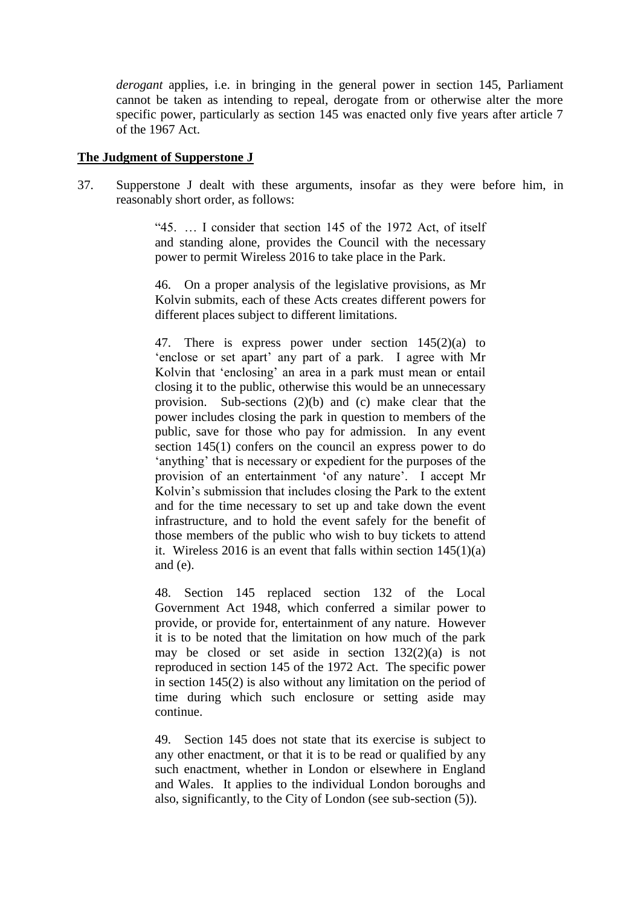*derogant* applies, i.e. in bringing in the general power in section 145, Parliament cannot be taken as intending to repeal, derogate from or otherwise alter the more specific power, particularly as section 145 was enacted only five years after article 7 of the 1967 Act.

### **The Judgment of Supperstone J**

37. Supperstone J dealt with these arguments, insofar as they were before him, in reasonably short order, as follows:

> "45. … I consider that section 145 of the 1972 Act, of itself and standing alone, provides the Council with the necessary power to permit Wireless 2016 to take place in the Park.

> 46. On a proper analysis of the legislative provisions, as Mr Kolvin submits, each of these Acts creates different powers for different places subject to different limitations.

> 47. There is express power under section 145(2)(a) to 'enclose or set apart' any part of a park. I agree with Mr Kolvin that 'enclosing' an area in a park must mean or entail closing it to the public, otherwise this would be an unnecessary provision. Sub-sections (2)(b) and (c) make clear that the power includes closing the park in question to members of the public, save for those who pay for admission. In any event section 145(1) confers on the council an express power to do 'anything' that is necessary or expedient for the purposes of the provision of an entertainment 'of any nature'. I accept Mr Kolvin's submission that includes closing the Park to the extent and for the time necessary to set up and take down the event infrastructure, and to hold the event safely for the benefit of those members of the public who wish to buy tickets to attend it. Wireless 2016 is an event that falls within section  $145(1)(a)$ and (e).

> 48. Section 145 replaced section 132 of the Local Government Act 1948, which conferred a similar power to provide, or provide for, entertainment of any nature. However it is to be noted that the limitation on how much of the park may be closed or set aside in section 132(2)(a) is not reproduced in section 145 of the 1972 Act. The specific power in section 145(2) is also without any limitation on the period of time during which such enclosure or setting aside may continue.

> 49. Section 145 does not state that its exercise is subject to any other enactment, or that it is to be read or qualified by any such enactment, whether in London or elsewhere in England and Wales. It applies to the individual London boroughs and also, significantly, to the City of London (see sub-section (5)).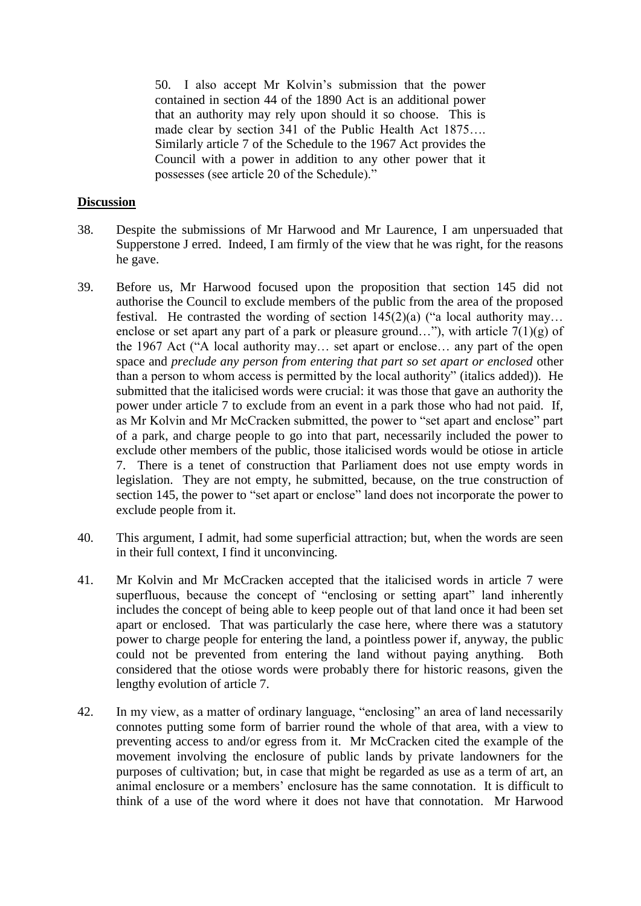50. I also accept Mr Kolvin's submission that the power contained in section 44 of the 1890 Act is an additional power that an authority may rely upon should it so choose. This is made clear by section 341 of the Public Health Act 1875…. Similarly article 7 of the Schedule to the 1967 Act provides the Council with a power in addition to any other power that it possesses (see article 20 of the Schedule)."

#### **Discussion**

- 38. Despite the submissions of Mr Harwood and Mr Laurence, I am unpersuaded that Supperstone J erred. Indeed, I am firmly of the view that he was right, for the reasons he gave.
- 39. Before us, Mr Harwood focused upon the proposition that section 145 did not authorise the Council to exclude members of the public from the area of the proposed festival. He contrasted the wording of section  $145(2)(a)$  ("a local authority may... enclose or set apart any part of a park or pleasure ground…"), with article 7(1)(g) of the 1967 Act ("A local authority may… set apart or enclose… any part of the open space and *preclude any person from entering that part so set apart or enclosed* other than a person to whom access is permitted by the local authority" (italics added)). He submitted that the italicised words were crucial: it was those that gave an authority the power under article 7 to exclude from an event in a park those who had not paid. If, as Mr Kolvin and Mr McCracken submitted, the power to "set apart and enclose" part of a park, and charge people to go into that part, necessarily included the power to exclude other members of the public, those italicised words would be otiose in article 7. There is a tenet of construction that Parliament does not use empty words in legislation. They are not empty, he submitted, because, on the true construction of section 145, the power to "set apart or enclose" land does not incorporate the power to exclude people from it.
- 40. This argument, I admit, had some superficial attraction; but, when the words are seen in their full context, I find it unconvincing.
- 41. Mr Kolvin and Mr McCracken accepted that the italicised words in article 7 were superfluous, because the concept of "enclosing or setting apart" land inherently includes the concept of being able to keep people out of that land once it had been set apart or enclosed. That was particularly the case here, where there was a statutory power to charge people for entering the land, a pointless power if, anyway, the public could not be prevented from entering the land without paying anything. Both considered that the otiose words were probably there for historic reasons, given the lengthy evolution of article 7.
- 42. In my view, as a matter of ordinary language, "enclosing" an area of land necessarily connotes putting some form of barrier round the whole of that area, with a view to preventing access to and/or egress from it. Mr McCracken cited the example of the movement involving the enclosure of public lands by private landowners for the purposes of cultivation; but, in case that might be regarded as use as a term of art, an animal enclosure or a members' enclosure has the same connotation. It is difficult to think of a use of the word where it does not have that connotation. Mr Harwood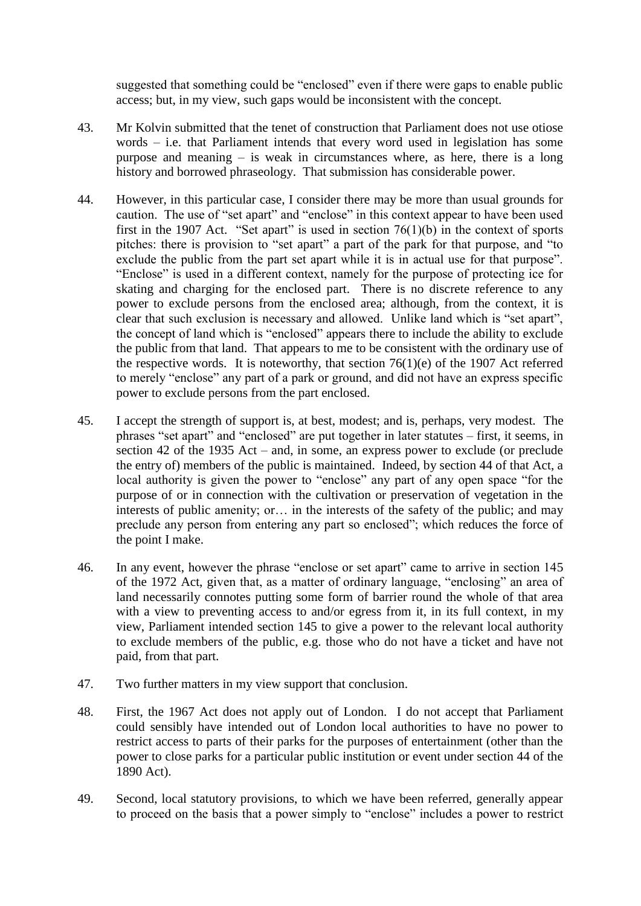suggested that something could be "enclosed" even if there were gaps to enable public access; but, in my view, such gaps would be inconsistent with the concept.

- 43. Mr Kolvin submitted that the tenet of construction that Parliament does not use otiose words – i.e. that Parliament intends that every word used in legislation has some purpose and meaning – is weak in circumstances where, as here, there is a long history and borrowed phraseology. That submission has considerable power.
- 44. However, in this particular case, I consider there may be more than usual grounds for caution. The use of "set apart" and "enclose" in this context appear to have been used first in the 1907 Act. "Set apart" is used in section  $76(1)(b)$  in the context of sports pitches: there is provision to "set apart" a part of the park for that purpose, and "to exclude the public from the part set apart while it is in actual use for that purpose". "Enclose" is used in a different context, namely for the purpose of protecting ice for skating and charging for the enclosed part. There is no discrete reference to any power to exclude persons from the enclosed area; although, from the context, it is clear that such exclusion is necessary and allowed. Unlike land which is "set apart", the concept of land which is "enclosed" appears there to include the ability to exclude the public from that land. That appears to me to be consistent with the ordinary use of the respective words. It is noteworthy, that section  $76(1)(e)$  of the 1907 Act referred to merely "enclose" any part of a park or ground, and did not have an express specific power to exclude persons from the part enclosed.
- 45. I accept the strength of support is, at best, modest; and is, perhaps, very modest. The phrases "set apart" and "enclosed" are put together in later statutes – first, it seems, in section 42 of the 1935 Act – and, in some, an express power to exclude (or preclude the entry of) members of the public is maintained. Indeed, by section 44 of that Act, a local authority is given the power to "enclose" any part of any open space "for the purpose of or in connection with the cultivation or preservation of vegetation in the interests of public amenity; or… in the interests of the safety of the public; and may preclude any person from entering any part so enclosed"; which reduces the force of the point I make.
- 46. In any event, however the phrase "enclose or set apart" came to arrive in section 145 of the 1972 Act, given that, as a matter of ordinary language, "enclosing" an area of land necessarily connotes putting some form of barrier round the whole of that area with a view to preventing access to and/or egress from it, in its full context, in my view, Parliament intended section 145 to give a power to the relevant local authority to exclude members of the public, e.g. those who do not have a ticket and have not paid, from that part.
- 47. Two further matters in my view support that conclusion.
- 48. First, the 1967 Act does not apply out of London. I do not accept that Parliament could sensibly have intended out of London local authorities to have no power to restrict access to parts of their parks for the purposes of entertainment (other than the power to close parks for a particular public institution or event under section 44 of the 1890 Act).
- 49. Second, local statutory provisions, to which we have been referred, generally appear to proceed on the basis that a power simply to "enclose" includes a power to restrict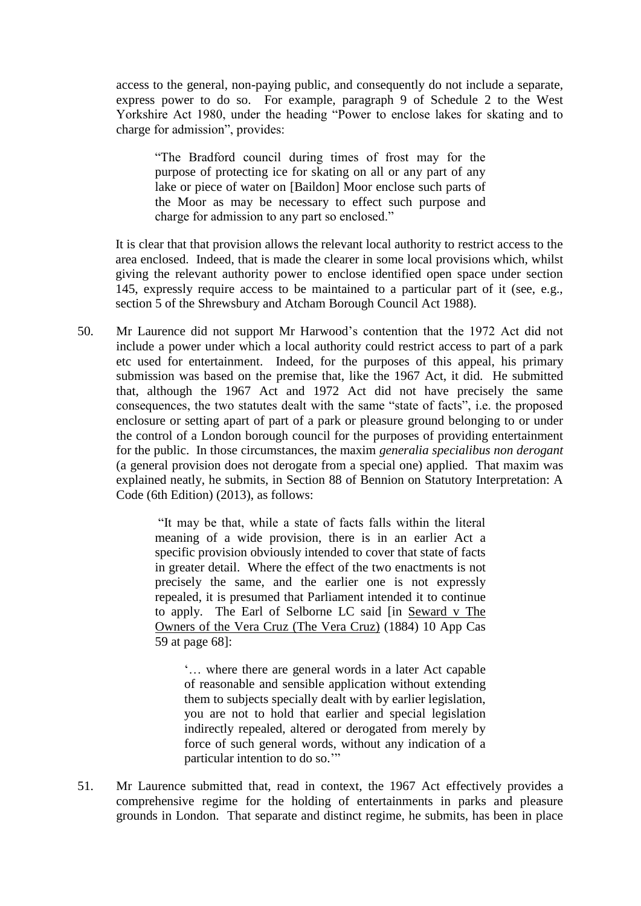access to the general, non-paying public, and consequently do not include a separate, express power to do so. For example, paragraph 9 of Schedule 2 to the West Yorkshire Act 1980, under the heading "Power to enclose lakes for skating and to charge for admission", provides:

"The Bradford council during times of frost may for the purpose of protecting ice for skating on all or any part of any lake or piece of water on [Baildon] Moor enclose such parts of the Moor as may be necessary to effect such purpose and charge for admission to any part so enclosed."

It is clear that that provision allows the relevant local authority to restrict access to the area enclosed. Indeed, that is made the clearer in some local provisions which, whilst giving the relevant authority power to enclose identified open space under section 145, expressly require access to be maintained to a particular part of it (see, e.g., section 5 of the Shrewsbury and Atcham Borough Council Act 1988).

50. Mr Laurence did not support Mr Harwood's contention that the 1972 Act did not include a power under which a local authority could restrict access to part of a park etc used for entertainment. Indeed, for the purposes of this appeal, his primary submission was based on the premise that, like the 1967 Act, it did. He submitted that, although the 1967 Act and 1972 Act did not have precisely the same consequences, the two statutes dealt with the same "state of facts", i.e. the proposed enclosure or setting apart of part of a park or pleasure ground belonging to or under the control of a London borough council for the purposes of providing entertainment for the public. In those circumstances, the maxim *generalia specialibus non derogant* (a general provision does not derogate from a special one) applied. That maxim was explained neatly, he submits, in Section 88 of Bennion on Statutory Interpretation: A Code (6th Edition) (2013), as follows:

> "It may be that, while a state of facts falls within the literal meaning of a wide provision, there is in an earlier Act a specific provision obviously intended to cover that state of facts in greater detail. Where the effect of the two enactments is not precisely the same, and the earlier one is not expressly repealed, it is presumed that Parliament intended it to continue to apply. The Earl of Selborne LC said [in Seward v The Owners of the Vera Cruz (The Vera Cruz) (1884) 10 App Cas 59 at page 68]:

'… where there are general words in a later Act capable of reasonable and sensible application without extending them to subjects specially dealt with by earlier legislation, you are not to hold that earlier and special legislation indirectly repealed, altered or derogated from merely by force of such general words, without any indication of a particular intention to do so.'"

51. Mr Laurence submitted that, read in context, the 1967 Act effectively provides a comprehensive regime for the holding of entertainments in parks and pleasure grounds in London. That separate and distinct regime, he submits, has been in place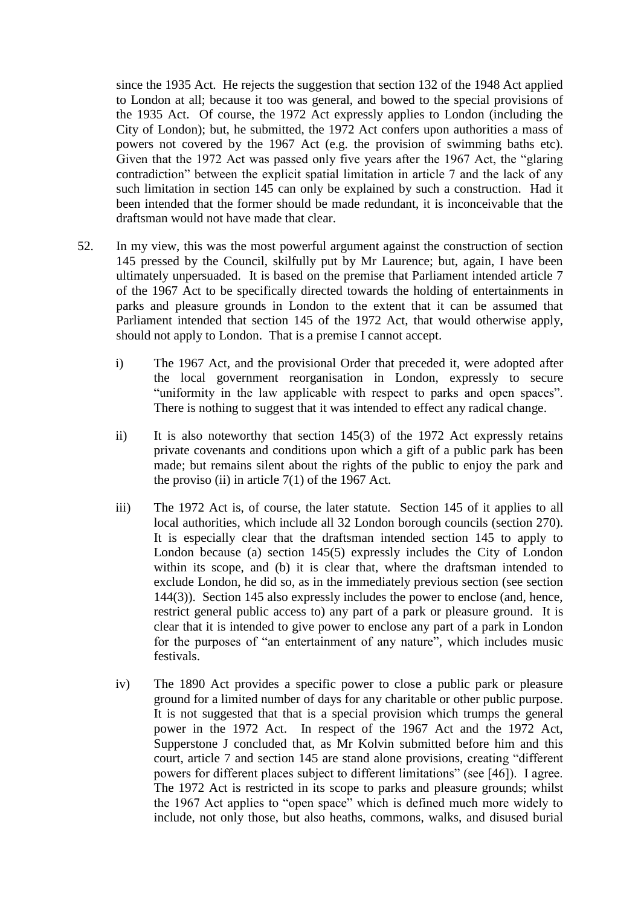since the 1935 Act. He rejects the suggestion that section 132 of the 1948 Act applied to London at all; because it too was general, and bowed to the special provisions of the 1935 Act. Of course, the 1972 Act expressly applies to London (including the City of London); but, he submitted, the 1972 Act confers upon authorities a mass of powers not covered by the 1967 Act (e.g. the provision of swimming baths etc). Given that the 1972 Act was passed only five years after the 1967 Act, the "glaring contradiction" between the explicit spatial limitation in article 7 and the lack of any such limitation in section 145 can only be explained by such a construction. Had it been intended that the former should be made redundant, it is inconceivable that the draftsman would not have made that clear.

- 52. In my view, this was the most powerful argument against the construction of section 145 pressed by the Council, skilfully put by Mr Laurence; but, again, I have been ultimately unpersuaded. It is based on the premise that Parliament intended article 7 of the 1967 Act to be specifically directed towards the holding of entertainments in parks and pleasure grounds in London to the extent that it can be assumed that Parliament intended that section 145 of the 1972 Act, that would otherwise apply, should not apply to London. That is a premise I cannot accept.
	- i) The 1967 Act, and the provisional Order that preceded it, were adopted after the local government reorganisation in London, expressly to secure "uniformity in the law applicable with respect to parks and open spaces". There is nothing to suggest that it was intended to effect any radical change.
	- ii) It is also noteworthy that section 145(3) of the 1972 Act expressly retains private covenants and conditions upon which a gift of a public park has been made; but remains silent about the rights of the public to enjoy the park and the proviso (ii) in article  $7(1)$  of the 1967 Act.
	- iii) The 1972 Act is, of course, the later statute. Section 145 of it applies to all local authorities, which include all 32 London borough councils (section 270). It is especially clear that the draftsman intended section 145 to apply to London because (a) section 145(5) expressly includes the City of London within its scope, and (b) it is clear that, where the draftsman intended to exclude London, he did so, as in the immediately previous section (see section 144(3)). Section 145 also expressly includes the power to enclose (and, hence, restrict general public access to) any part of a park or pleasure ground. It is clear that it is intended to give power to enclose any part of a park in London for the purposes of "an entertainment of any nature", which includes music festivals.
	- iv) The 1890 Act provides a specific power to close a public park or pleasure ground for a limited number of days for any charitable or other public purpose. It is not suggested that that is a special provision which trumps the general power in the 1972 Act. In respect of the 1967 Act and the 1972 Act, Supperstone J concluded that, as Mr Kolvin submitted before him and this court, article 7 and section 145 are stand alone provisions, creating "different powers for different places subject to different limitations" (see [46]). I agree. The 1972 Act is restricted in its scope to parks and pleasure grounds; whilst the 1967 Act applies to "open space" which is defined much more widely to include, not only those, but also heaths, commons, walks, and disused burial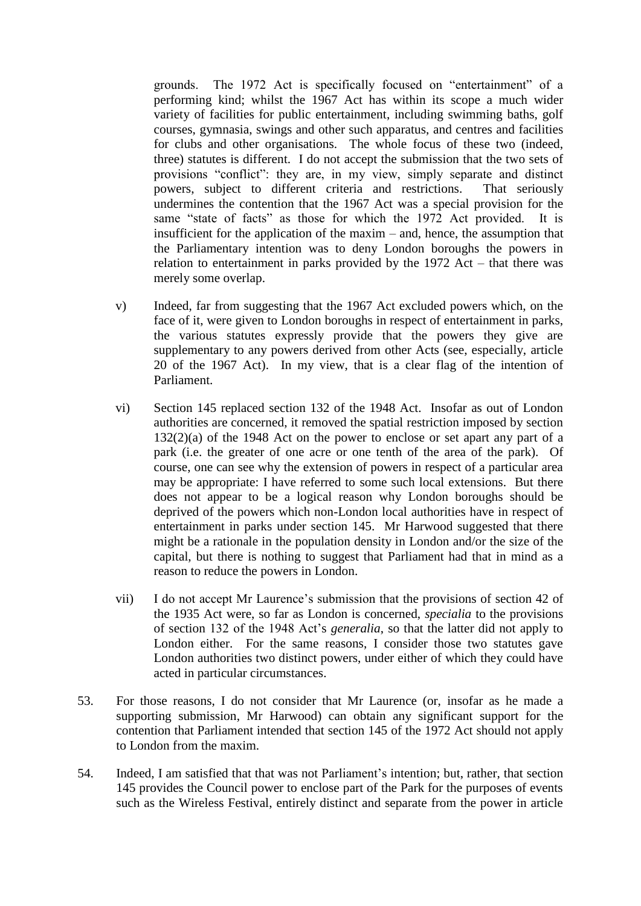grounds. The 1972 Act is specifically focused on "entertainment" of a performing kind; whilst the 1967 Act has within its scope a much wider variety of facilities for public entertainment, including swimming baths, golf courses, gymnasia, swings and other such apparatus, and centres and facilities for clubs and other organisations. The whole focus of these two (indeed, three) statutes is different. I do not accept the submission that the two sets of provisions "conflict": they are, in my view, simply separate and distinct powers, subject to different criteria and restrictions. That seriously undermines the contention that the 1967 Act was a special provision for the same "state of facts" as those for which the 1972 Act provided. It is insufficient for the application of the maxim – and, hence, the assumption that the Parliamentary intention was to deny London boroughs the powers in relation to entertainment in parks provided by the 1972 Act – that there was merely some overlap.

- v) Indeed, far from suggesting that the 1967 Act excluded powers which, on the face of it, were given to London boroughs in respect of entertainment in parks, the various statutes expressly provide that the powers they give are supplementary to any powers derived from other Acts (see, especially, article 20 of the 1967 Act). In my view, that is a clear flag of the intention of Parliament.
- vi) Section 145 replaced section 132 of the 1948 Act. Insofar as out of London authorities are concerned, it removed the spatial restriction imposed by section 132(2)(a) of the 1948 Act on the power to enclose or set apart any part of a park (i.e. the greater of one acre or one tenth of the area of the park). Of course, one can see why the extension of powers in respect of a particular area may be appropriate: I have referred to some such local extensions. But there does not appear to be a logical reason why London boroughs should be deprived of the powers which non-London local authorities have in respect of entertainment in parks under section 145. Mr Harwood suggested that there might be a rationale in the population density in London and/or the size of the capital, but there is nothing to suggest that Parliament had that in mind as a reason to reduce the powers in London.
- vii) I do not accept Mr Laurence's submission that the provisions of section 42 of the 1935 Act were, so far as London is concerned, *specialia* to the provisions of section 132 of the 1948 Act's *generalia*, so that the latter did not apply to London either. For the same reasons, I consider those two statutes gave London authorities two distinct powers, under either of which they could have acted in particular circumstances.
- 53. For those reasons, I do not consider that Mr Laurence (or, insofar as he made a supporting submission, Mr Harwood) can obtain any significant support for the contention that Parliament intended that section 145 of the 1972 Act should not apply to London from the maxim.
- 54. Indeed, I am satisfied that that was not Parliament's intention; but, rather, that section 145 provides the Council power to enclose part of the Park for the purposes of events such as the Wireless Festival, entirely distinct and separate from the power in article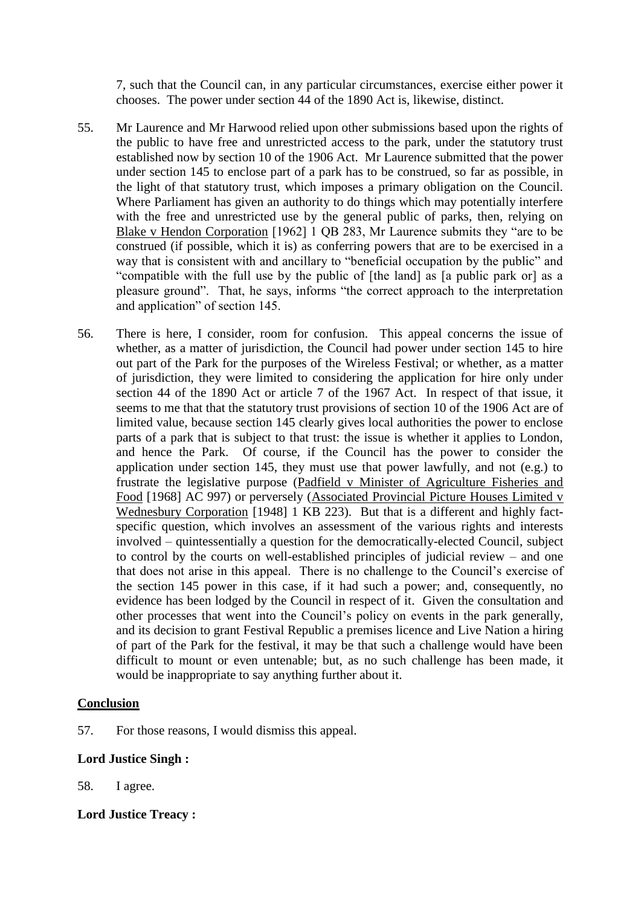7, such that the Council can, in any particular circumstances, exercise either power it chooses. The power under section 44 of the 1890 Act is, likewise, distinct.

- 55. Mr Laurence and Mr Harwood relied upon other submissions based upon the rights of the public to have free and unrestricted access to the park, under the statutory trust established now by section 10 of the 1906 Act. Mr Laurence submitted that the power under section 145 to enclose part of a park has to be construed, so far as possible, in the light of that statutory trust, which imposes a primary obligation on the Council. Where Parliament has given an authority to do things which may potentially interfere with the free and unrestricted use by the general public of parks, then, relying on Blake v Hendon Corporation [1962] 1 QB 283, Mr Laurence submits they "are to be construed (if possible, which it is) as conferring powers that are to be exercised in a way that is consistent with and ancillary to "beneficial occupation by the public" and "compatible with the full use by the public of [the land] as [a public park or] as a pleasure ground". That, he says, informs "the correct approach to the interpretation and application" of section 145.
- 56. There is here, I consider, room for confusion. This appeal concerns the issue of whether, as a matter of jurisdiction, the Council had power under section 145 to hire out part of the Park for the purposes of the Wireless Festival; or whether, as a matter of jurisdiction, they were limited to considering the application for hire only under section 44 of the 1890 Act or article 7 of the 1967 Act. In respect of that issue, it seems to me that that the statutory trust provisions of section 10 of the 1906 Act are of limited value, because section 145 clearly gives local authorities the power to enclose parts of a park that is subject to that trust: the issue is whether it applies to London, and hence the Park. Of course, if the Council has the power to consider the application under section 145, they must use that power lawfully, and not (e.g.) to frustrate the legislative purpose (Padfield v Minister of Agriculture Fisheries and Food [1968] AC 997) or perversely (Associated Provincial Picture Houses Limited v Wednesbury Corporation [1948] 1 KB 223). But that is a different and highly factspecific question, which involves an assessment of the various rights and interests involved – quintessentially a question for the democratically-elected Council, subject to control by the courts on well-established principles of judicial review – and one that does not arise in this appeal. There is no challenge to the Council's exercise of the section 145 power in this case, if it had such a power; and, consequently, no evidence has been lodged by the Council in respect of it. Given the consultation and other processes that went into the Council's policy on events in the park generally, and its decision to grant Festival Republic a premises licence and Live Nation a hiring of part of the Park for the festival, it may be that such a challenge would have been difficult to mount or even untenable; but, as no such challenge has been made, it would be inappropriate to say anything further about it.

#### **Conclusion**

57. For those reasons, I would dismiss this appeal.

## **Lord Justice Singh :**

58. I agree.

## **Lord Justice Treacy :**